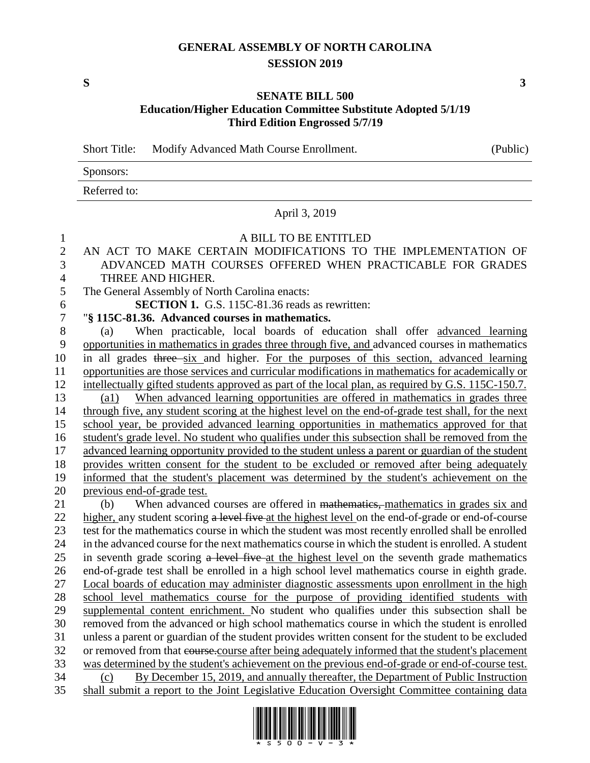# **GENERAL ASSEMBLY OF NORTH CAROLINA SESSION 2019**

**S 3**

## **SENATE BILL 500 Education/Higher Education Committee Substitute Adopted 5/1/19 Third Edition Engrossed 5/7/19**

Short Title: Modify Advanced Math Course Enrollment. (Public)

| Sponsors:    |  |
|--------------|--|
| Referred to: |  |

#### April 3, 2019

### A BILL TO BE ENTITLED

## AN ACT TO MAKE CERTAIN MODIFICATIONS TO THE IMPLEMENTATION OF ADVANCED MATH COURSES OFFERED WHEN PRACTICABLE FOR GRADES THREE AND HIGHER.

The General Assembly of North Carolina enacts:

**SECTION 1.** G.S. 115C-81.36 reads as rewritten:

"**§ 115C-81.36. Advanced courses in mathematics.**

 (a) When practicable, local boards of education shall offer advanced learning opportunities in mathematics in grades three through five, and advanced courses in mathematics in all grades three six and higher. For the purposes of this section, advanced learning opportunities are those services and curricular modifications in mathematics for academically or 12 intellectually gifted students approved as part of the local plan, as required by G.S. 115C-150.7. (a1) When advanced learning opportunities are offered in mathematics in grades three through five, any student scoring at the highest level on the end-of-grade test shall, for the next school year, be provided advanced learning opportunities in mathematics approved for that student's grade level. No student who qualifies under this subsection shall be removed from the advanced learning opportunity provided to the student unless a parent or guardian of the student provides written consent for the student to be excluded or removed after being adequately informed that the student's placement was determined by the student's achievement on the previous end-of-grade test. 21 (b) When advanced courses are offered in mathematics, mathematics in grades six and

22 higher, any student scoring a level five at the highest level on the end-of-grade or end-of-course test for the mathematics course in which the student was most recently enrolled shall be enrolled in the advanced course for the next mathematics course in which the student is enrolled. A student 25 in seventh grade scoring a level five at the highest level on the seventh grade mathematics end-of-grade test shall be enrolled in a high school level mathematics course in eighth grade. Local boards of education may administer diagnostic assessments upon enrollment in the high school level mathematics course for the purpose of providing identified students with supplemental content enrichment. No student who qualifies under this subsection shall be removed from the advanced or high school mathematics course in which the student is enrolled unless a parent or guardian of the student provides written consent for the student to be excluded or removed from that course.course after being adequately informed that the student's placement was determined by the student's achievement on the previous end-of-grade or end-of-course test. (c) By December 15, 2019, and annually thereafter, the Department of Public Instruction shall submit a report to the Joint Legislative Education Oversight Committee containing data